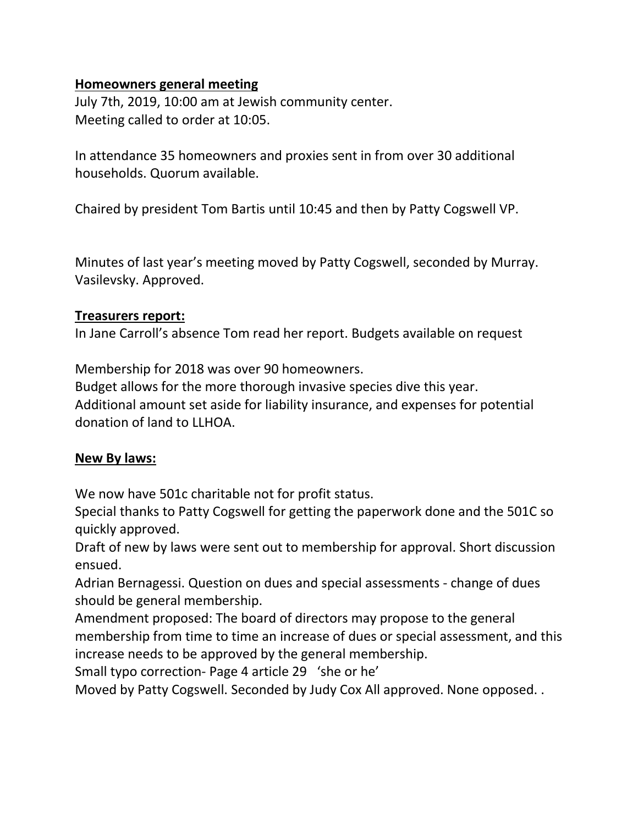## **Homeowners general meeting**

July 7th, 2019, 10:00 am at Jewish community center. Meeting called to order at 10:05.

In attendance 35 homeowners and proxies sent in from over 30 additional households. Quorum available.

Chaired by president Tom Bartis until 10:45 and then by Patty Cogswell VP.

Minutes of last year's meeting moved by Patty Cogswell, seconded by Murray. Vasilevsky. Approved.

#### **Treasurers report:**

In Jane Carroll's absence Tom read her report. Budgets available on request

Membership for 2018 was over 90 homeowners.

Budget allows for the more thorough invasive species dive this year. Additional amount set aside for liability insurance, and expenses for potential donation of land to LLHOA.

### **New By laws:**

We now have 501c charitable not for profit status.

Special thanks to Patty Cogswell for getting the paperwork done and the 501C so quickly approved.

Draft of new by laws were sent out to membership for approval. Short discussion ensued.

Adrian Bernagessi. Question on dues and special assessments - change of dues should be general membership.

Amendment proposed: The board of directors may propose to the general membership from time to time an increase of dues or special assessment, and this increase needs to be approved by the general membership.

Small typo correction- Page 4 article 29 'she or he'

Moved by Patty Cogswell. Seconded by Judy Cox All approved. None opposed. .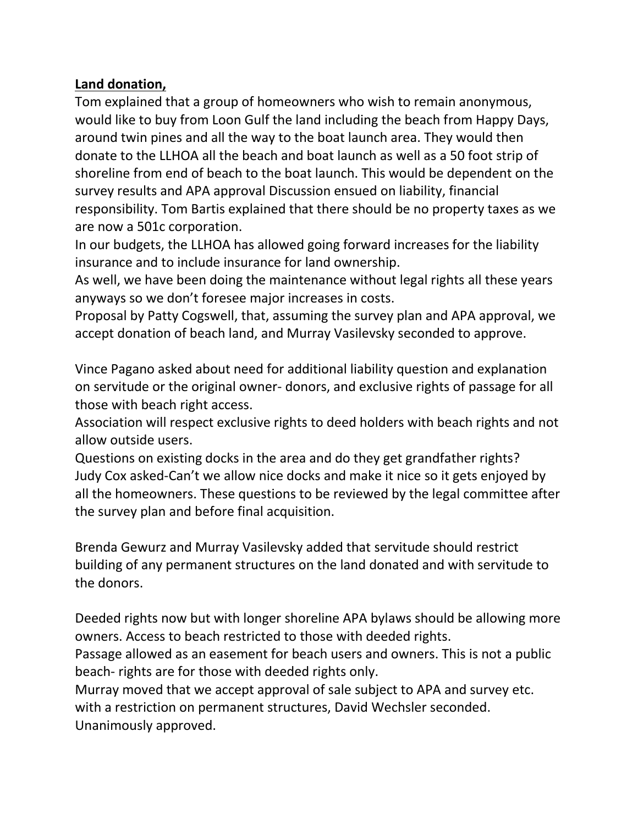# **Land donation,**

Tom explained that a group of homeowners who wish to remain anonymous, would like to buy from Loon Gulf the land including the beach from Happy Days, around twin pines and all the way to the boat launch area. They would then donate to the LLHOA all the beach and boat launch as well as a 50 foot strip of shoreline from end of beach to the boat launch. This would be dependent on the survey results and APA approval Discussion ensued on liability, financial responsibility. Tom Bartis explained that there should be no property taxes as we are now a 501c corporation.

In our budgets, the LLHOA has allowed going forward increases for the liability insurance and to include insurance for land ownership.

As well, we have been doing the maintenance without legal rights all these years anyways so we don't foresee major increases in costs.

Proposal by Patty Cogswell, that, assuming the survey plan and APA approval, we accept donation of beach land, and Murray Vasilevsky seconded to approve.

Vince Pagano asked about need for additional liability question and explanation on servitude or the original owner- donors, and exclusive rights of passage for all those with beach right access.

Association will respect exclusive rights to deed holders with beach rights and not allow outside users.

Questions on existing docks in the area and do they get grandfather rights? Judy Cox asked-Can't we allow nice docks and make it nice so it gets enjoyed by all the homeowners. These questions to be reviewed by the legal committee after the survey plan and before final acquisition.

Brenda Gewurz and Murray Vasilevsky added that servitude should restrict building of any permanent structures on the land donated and with servitude to the donors.

Deeded rights now but with longer shoreline APA bylaws should be allowing more owners. Access to beach restricted to those with deeded rights.

Passage allowed as an easement for beach users and owners. This is not a public beach- rights are for those with deeded rights only.

Murray moved that we accept approval of sale subject to APA and survey etc. with a restriction on permanent structures, David Wechsler seconded. Unanimously approved.